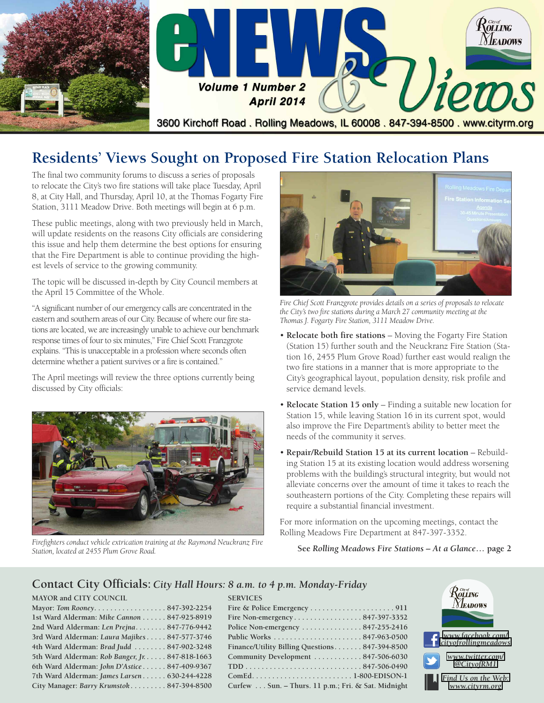

# **Residents' Views Sought on Proposed Fire Station Relocation Plans**

The final two community forums to discuss a series of proposals to relocate the City's two fire stations will take place Tuesday, April 8, at City Hall, and Thursday, April 10, at the Thomas Fogarty Fire Station, 3111 Meadow Drive. Both meetings will begin at 6 p.m.

These public meetings, along with two previously held in March, will update residents on the reasons City officials are considering this issue and help them determine the best options for ensuring that the Fire Department is able to continue providing the highest levels of service to the growing community.

The topic will be discussed in-depth by City Council members at the April 15 Committee of the Whole.

"A significant number of our emergency calls are concentrated in the eastern and southern areas of our City. Because of where our fire stations are located, we are increasingly unable to achieve our benchmark response times of four to six minutes," Fire Chief Scott Franzgrote explains. "This is unacceptable in a profession where seconds often determine whether a patient survives or a fire is contained."

The April meetings will review the three options currently being discussed by City officials:



*Firefighters conduct vehicle extrication training at the Raymond Neuckranz Fire Station, located at 2455 Plum Grove Road.*



*Fire Chief Scott Franzgrote provides details on a series of proposals to relocate the City's two fire stations during a March 27 community meeting at the Thomas J. Fogarty Fire Station, 3111 Meadow Drive.*

- **Relocate both fire stations** Moving the Fogarty Fire Station (Station 15) further south and the Neuckranz Fire Station (Station 16, 2455 Plum Grove Road) further east would realign the two fire stations in a manner that is more appropriate to the City's geographical layout, population density, risk profile and service demand levels.
- **Relocate Station 15 only** Finding a suitable new location for Station 15, while leaving Station 16 in its current spot, would also improve the Fire Department's ability to better meet the needs of the community it serves.
- **Repair/Rebuild Station 15 at its current location** Rebuilding Station 15 at its existing location would address worsening problems with the building's structural integrity, but would not alleviate concerns over the amount of time it takes to reach the southeastern portions of the City. Completing these repairs will require a substantial financial investment.

For more information on the upcoming meetings, contact the Rolling Meadows Fire Department at 847-397-3352.

#### **See** *Rolling Meadows Fire Stations – At a Glance***… page 2**

#### **Contact City Officials:** *City Hall Hours: 8 a.m. to 4 p.m. Monday-Friday*

|  | <b>MAYOR and CITY COUNCIL</b> |
|--|-------------------------------|
|  |                               |

| Mayor: Tom Rooney. 847-392-2254                 |  |
|-------------------------------------------------|--|
| 1st Ward Alderman: Mike Cannon 847-925-8919     |  |
| 2nd Ward Alderman: Len Prejna 847-776-9442      |  |
| 3rd Ward Alderman: Laura Majikes 847-577-3746   |  |
| 4th Ward Alderman: Brad Judd  847-902-3248      |  |
| 5th Ward Alderman: Rob Banger, Jr. 847-818-1663 |  |
| 6th Ward Alderman: John D'Astice 847-409-9367   |  |
| 7th Ward Alderman: James Larsen 630-244-4228    |  |
| City Manager: Barry Krumstok 847-394-8500       |  |
|                                                 |  |

| <b>SERVICES</b>                                          |
|----------------------------------------------------------|
|                                                          |
|                                                          |
| Police Non-emergency $\dots\dots\dots\dots 847-255-2416$ |
|                                                          |
| Finance/Utility Billing Questions 847-394-8500           |
| Community Development  847-506-6030                      |
|                                                          |
|                                                          |
| Curfew Sun. - Thurs. 11 p.m.; Fri. & Sat. Midnight       |

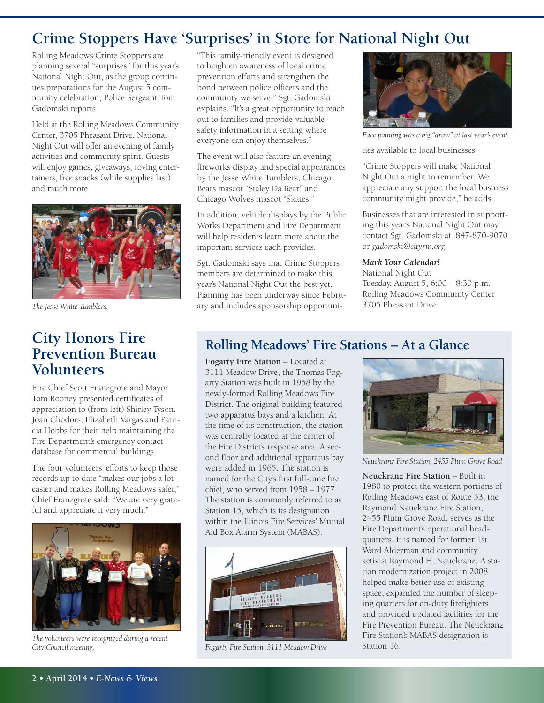## **Crime Stoppers Have 'Surprises' in Store for National Night Out**

Rolling Meadows Crime Stoppers are planning several "surprises" for this year's National Night Out, as the group continues preparations for the August 5 community celebration, Police Sergeant Tom Gadomski reports.

Held at the Rolling Meadows Community Center, 3705 Pheasant Drive, National Night Out will offer an evening of family activities and community spirit. Guests will enjoy games, giveaways, roving entertainers, free snacks (while supplies last) and much more.



*The Jesse White Tumblers.*

## **City Honors Fire Prevention Bureau Volunteers**

Fire Chief Scott Franzgrote and Mayor Tom Rooney presented certificates of appreciation to (from left) Shirley Tyson, Joan Chodors, Elizabeth Vargas and Patricia Hobbs for their help maintaining the Fire Department's emergency contact database for commercial buildings.

The four volunteers' efforts to keep those records up to date "makes our jobs a lot easier and makes Rolling Meadows safer," Chief Franzgrote said. "We are very grateful and appreciate it very much."



*The volunteers were recognized during a recent City Council meeting.*

"This family-friendly event is designed to heighten awareness of local crime prevention efforts and strengthen the bond between police officers and the community we serve," Sgt. Gadomski explains. "It's a great opportunity to reach out to families and provide valuable safety information in a setting where everyone can enjoy themselves."

The event will also feature an evening fireworks display and special appearances by the Jesse White Tumblers, Chicago Bears mascot "Staley Da Bear" and Chicago Wolves mascot "Skates."

In addition, vehicle displays by the Public Works Department and Fire Department will help residents learn more about the important services each provides.

Sgt. Gadomski says that Crime Stoppers members are determined to make this year's National Night Out the best yet. Planning has been underway since February and includes sponsorship opportuni-



*Face painting was a big "draw" at last year's event.*

ties available to local businesses.

"Crime Stoppers will make National Night Out a night to remember. We appreciate any support the local business community might provide," he adds.

Businesses that are interested in supporting this year's National Night Out may contact Sgt. Gadomski at 847-870-9070 or *gadomski@cityrm.org*.

#### *Mark Your Calendar!*

National Night Out Tuesday, August 5, 6:00 – 8:30 p.m. Rolling Meadows Community Center 3705 Pheasant Drive

### **Rolling Meadows' Fire Stations – At a Glance**

**Fogarty Fire Station** – Located at 3111 Meadow Drive, the Thomas Fogarty Station was built in 1958 by the newly-formed Rolling Meadows Fire District. The original building featured two apparatus bays and a kitchen. At the time of its construction, the station was centrally located at the center of the Fire District's response area. A second floor and additional apparatus bay were added in 1965. The station is named for the City's first full-time fire chief, who served from 1958 – 1977. The station is commonly referred to as Station 15, which is its designation within the Illinois Fire Services' Mutual Aid Box Alarm System (MABAS).



*Fogarty Fire Station, 3111 Meadow Drive*



*Neuckranz Fire Station, 2455 Plum Grove Road*

**Neuckranz Fire Station** – Built in 1980 to protect the western portions of Rolling Meadows east of Route 53, the Raymond Neuckranz Fire Station, 2455 Plum Grove Road, serves as the Fire Department's operational headquarters. It is named for former 1st Ward Alderman and community activist Raymond H. Neuckranz. A station modernization project in 2008 helped make better use of existing space, expanded the number of sleeping quarters for on-duty firefighters, and provided updated facilities for the Fire Prevention Bureau. The Neuckranz Fire Station's MABAS designation is Station 16.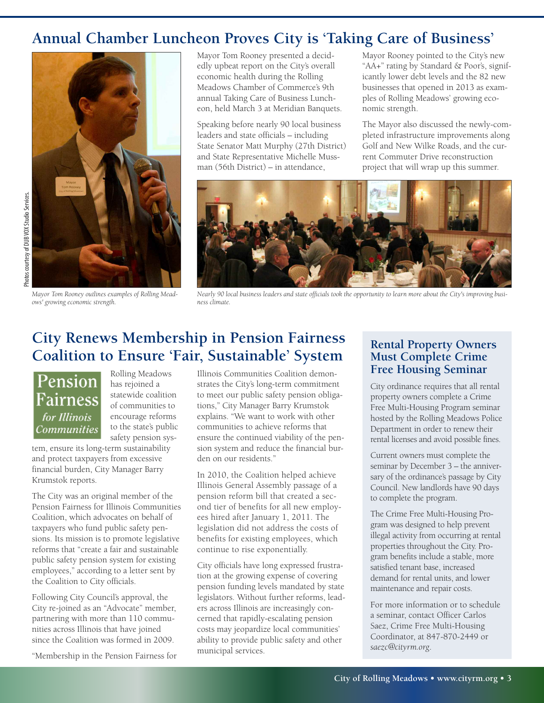# **Annual Chamber Luncheon Proves City is 'Taking Care of Business'**



*Mayor Tom Rooney outlines examples of Rolling Meadows' growing economic strength.*

Mayor Tom Rooney presented a decidedly upbeat report on the City's overall economic health during the Rolling Meadows Chamber of Commerce's 9th annual Taking Care of Business Luncheon, held March 3 at Meridian Banquets.

Speaking before nearly 90 local business leaders and state officials – including State Senator Matt Murphy (27th District) and State Representative Michelle Mussman (56th District) – in attendance,

Mayor Rooney pointed to the City's new "AA+" rating by Standard & Poor's, significantly lower debt levels and the 82 new businesses that opened in 2013 as examples of Rolling Meadows' growing economic strength.

The Mayor also discussed the newly-completed infrastructure improvements along Golf and New Wilke Roads, and the current Commuter Drive reconstruction project that will wrap up this summer.



Nearly 90 local business leaders and state officials took the opportunity to learn more about the City's improving busi*ness climate.*

# **City Renews Membership in Pension Fairness Coalition to Ensure 'Fair, Sustainable' System**

Pension Fairness for Illinois **Communities**  Rolling Meadows has rejoined a statewide coalition of communities to encourage reforms to the state's public safety pension sys-

tem, ensure its long-term sustainability and protect taxpayers from excessive financial burden, City Manager Barry Krumstok reports.

The City was an original member of the Pension Fairness for Illinois Communities Coalition, which advocates on behalf of taxpayers who fund public safety pensions. Its mission is to promote legislative reforms that "create a fair and sustainable public safety pension system for existing employees," according to a letter sent by the Coalition to City officials.

Following City Council's approval, the City re-joined as an "Advocate" member, partnering with more than 110 communities across Illinois that have joined since the Coalition was formed in 2009.

"Membership in the Pension Fairness for

Illinois Communities Coalition demonstrates the City's long-term commitment to meet our public safety pension obligations," City Manager Barry Krumstok explains. "We want to work with other communities to achieve reforms that ensure the continued viability of the pension system and reduce the financial burden on our residents."

In 2010, the Coalition helped achieve Illinois General Assembly passage of a pension reform bill that created a second tier of benefits for all new employees hired after January 1, 2011. The legislation did not address the costs of benefits for existing employees, which continue to rise exponentially.

City officials have long expressed frustration at the growing expense of covering pension funding levels mandated by state legislators. Without further reforms, leaders across Illinois are increasingly concerned that rapidly-escalating pension costs may jeopardize local communities' ability to provide public safety and other municipal services.

#### **Rental Property Owners Must Complete Crime Free Housing Seminar**

City ordinance requires that all rental property owners complete a Crime Free Multi-Housing Program seminar hosted by the Rolling Meadows Police Department in order to renew their rental licenses and avoid possible fines.

Current owners must complete the seminar by December 3 – the anniversary of the ordinance's passage by City Council. New landlords have 90 days to complete the program.

The Crime Free Multi-Housing Program was designed to help prevent illegal activity from occurring at rental properties throughout the City. Program benefits include a stable, more satisfied tenant base, increased demand for rental units, and lower maintenance and repair costs.

For more information or to schedule a seminar, contact Officer Carlos Saez, Crime Free Multi-Housing Coordinator, at 847-870-2449 or *saezc@cityrm.org*.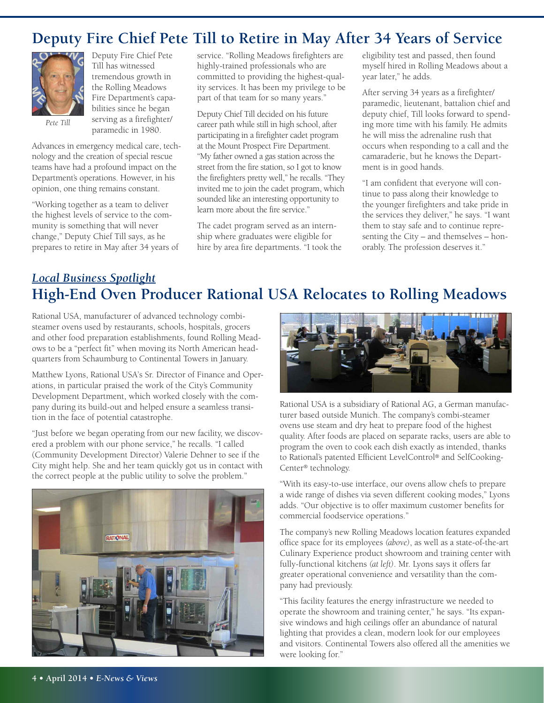### **Deputy Fire Chief Pete Till to Retire in May After 34 Years of Service**



Deputy Fire Chief Pete Till has witnessed tremendous growth in the Rolling Meadows Fire Department's capabilities since he began serving as a firefighter/ paramedic in 1980.

*Pete Till*

Advances in emergency medical care, technology and the creation of special rescue teams have had a profound impact on the Department's operations. However, in his opinion, one thing remains constant.

"Working together as a team to deliver the highest levels of service to the community is something that will never change," Deputy Chief Till says, as he prepares to retire in May after 34 years of service. "Rolling Meadows firefighters are highly-trained professionals who are committed to providing the highest-quality services. It has been my privilege to be part of that team for so many years."

Deputy Chief Till decided on his future career path while still in high school, after participating in a firefighter cadet program at the Mount Prospect Fire Department. "My father owned a gas station across the street from the fire station, so I got to know the firefighters pretty well," he recalls. "They invited me to join the cadet program, which sounded like an interesting opportunity to learn more about the fire service."

The cadet program served as an internship where graduates were eligible for hire by area fire departments. "I took the eligibility test and passed, then found myself hired in Rolling Meadows about a year later," he adds.

After serving 34 years as a firefighter/ paramedic, lieutenant, battalion chief and deputy chief, Till looks forward to spending more time with his family. He admits he will miss the adrenaline rush that occurs when responding to a call and the camaraderie, but he knows the Department is in good hands.

"I am confident that everyone will continue to pass along their knowledge to the younger firefighters and take pride in the services they deliver," he says. "I want them to stay safe and to continue representing the City – and themselves – honorably. The profession deserves it."

### *Local Business Spotlight* **High-End Oven Producer Rational USA Relocates to Rolling Meadows**

Rational USA, manufacturer of advanced technology combisteamer ovens used by restaurants, schools, hospitals, grocers and other food preparation establishments, found Rolling Meadows to be a "perfect fit" when moving its North American headquarters from Schaumburg to Continental Towers in January.

Matthew Lyons, Rational USA's Sr. Director of Finance and Operations, in particular praised the work of the City's Community Development Department, which worked closely with the company during its build-out and helped ensure a seamless transition in the face of potential catastrophe.

"Just before we began operating from our new facility, we discovered a problem with our phone service," he recalls. "I called (Community Development Director) Valerie Dehner to see if the City might help. She and her team quickly got us in contact with the correct people at the public utility to solve the problem."





Rational USA is a subsidiary of Rational AG, a German manufacturer based outside Munich. The company's combi-steamer ovens use steam and dry heat to prepare food of the highest quality. After foods are placed on separate racks, users are able to program the oven to cook each dish exactly as intended, thanks to Rational's patented Efficient LevelControl ® and SelfCooking-Center® technology.

"With its easy-to-use interface, our ovens allow chefs to prepare a wide range of dishes via seven different cooking modes," Lyons adds. "Our objective is to offer maximum customer benefits for commercial foodservice operations."

The company's new Rolling Meadows location features expanded office space for its employees *(above)*, as well as a state-of-the-art Culinary Experience product showroom and training center with fully-functional kitchens *(at left)*. Mr. Lyons says it offers far greater operational convenience and versatility than the company had previously.

"This facility features the energy infrastructure we needed to operate the showroom and training center," he says. "Its expansive windows and high ceilings offer an abundance of natural lighting that provides a clean, modern look for our employees and visitors. Continental Towers also offered all the amenities we were looking for."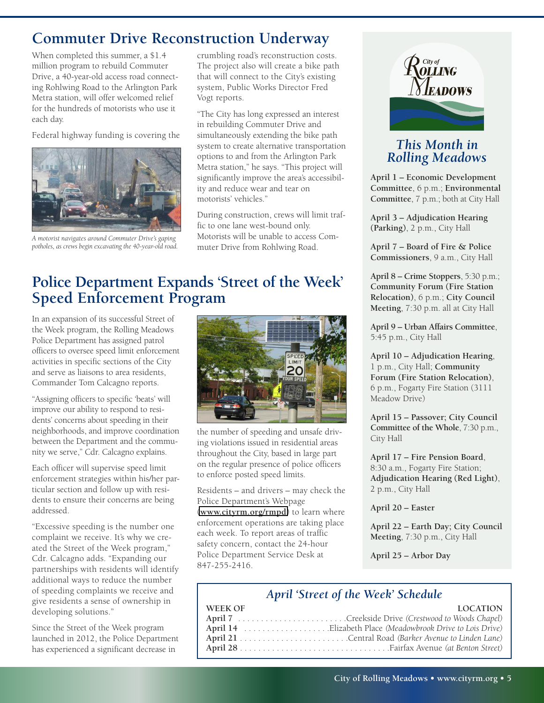## **Commuter Drive Reconstruction Underway**

When completed this summer, a \$1.4 million program to rebuild Commuter Drive, a 40-year-old access road connecting Rohlwing Road to the Arlington Park Metra station, will offer welcomed relief for the hundreds of motorists who use it each day.

Federal highway funding is covering the



*A motorist navigates around Commuter Drive's gaping potholes, as crews begin excavating the 40-year-old road.*

crumbling road's reconstruction costs. The project also will create a bike path that will connect to the City's existing system, Public Works Director Fred Vogt reports.

"The City has long expressed an interest in rebuilding Commuter Drive and simultaneously extending the bike path system to create alternative transportation options to and from the Arlington Park Metra station," he says. "This project will significantly improve the area's accessibility and reduce wear and tear on motorists' vehicles."

During construction, crews will limit traffic to one lane west-bound only. Motorists will be unable to access Commuter Drive from Rohlwing Road.

# **Police Department Expands 'Street of the Week' Speed Enforcement Program**

In an expansion of its successful Street of the Week program, the Rolling Meadows Police Department has assigned patrol officers to oversee speed limit enforcement activities in specific sections of the City and serve as liaisons to area residents, Commander Tom Calcagno reports.

"Assigning officers to specific 'beats' will improve our ability to respond to residents' concerns about speeding in their neighborhoods, and improve coordination between the Department and the community we serve," Cdr. Calcagno explains.

Each officer will supervise speed limit enforcement strategies within his/her particular section and follow up with residents to ensure their concerns are being addressed.

"Excessive speeding is the number one complaint we receive. It's why we created the Street of the Week program," Cdr. Calcagno adds. "Expanding our partnerships with residents will identify additional ways to reduce the number of speeding complaints we receive and give residents a sense of ownership in developing solutions."

Since the Street of the Week program launched in 2012, the Police Department has experienced a significant decrease in



the number of speeding and unsafe driving violations issued in residential areas throughout the City, based in large part on the regular presence of police officers to enforce posted speed limits.

Residents – and drivers – may check the Police Department's Webpage (**<www.cityrm.org/rmpd>**) to learn where enforcement operations are taking place each week. To report areas of traffic safety concern, contact the 24-hour Police Department Service Desk at 847-255-2416.



### *This Month in Rolling Meadows*

**April 1 – Economic Development Committee**, 6 p.m.; **Environmental Committee**, 7 p.m.; both at City Hall

**April 3 – Adjudication Hearing (Parking)**, 2 p.m., City Hall

**April 7 – Board of Fire & Police Commissioners**, 9 a.m., City Hall

**April 8 – Crime Stoppers**, 5:30 p.m.; **Community Forum (Fire Station Relocation)**, 6 p.m.; **City Council Meeting**, 7:30 p.m. all at City Hall

**April 9 – Urban Affairs Committee**, 5:45 p.m., City Hall

**April 10 – Adjudication Hearing**, 1 p.m., City Hall; **Community Forum (Fire Station Relocation)**, 6 p.m., Fogarty Fire Station (3111 Meadow Drive)

**April 15 – Passover; City Council Committee of the Whole**, 7:30 p.m., City Hall

**April 17 – Fire Pension Board**, 8:30 a.m., Fogarty Fire Station; **Adjudication Hearing (Red Light)**, 2 p.m., City Hall

#### **April 20 – Easter**

**April 22 – Earth Day; City Council Meeting**, 7:30 p.m., City Hall

**April 25 – Arbor Day**

### *April 'Street of the Week' Schedule*

| WEEK OF | <b>LOCATION</b> |
|---------|-----------------|
|         |                 |
|         |                 |
|         |                 |
|         |                 |